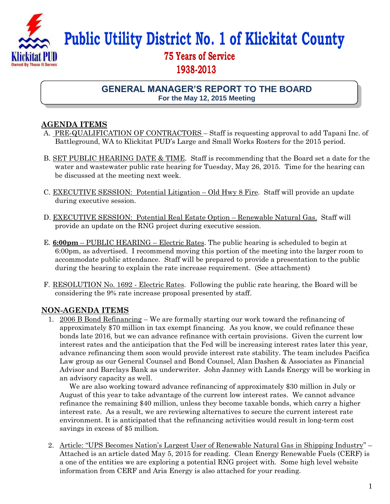

**Public Utility District No. 1 of Klickitat County**

# **75 Years of Service 1938-2013**

**GENERAL MANAGER'S REPORT TO THE BOARD For the May 12, 2015 Meeting**

## **AGENDA ITEMS**

- A. PRE-QUALIFICATION OF CONTRACTORS Staff is requesting approval to add Tapani Inc. of Battleground, WA to Klickitat PUD's Large and Small Works Rosters for the 2015 period.
- B. SET PUBLIC HEARING DATE & TIME. Staff is recommending that the Board set a date for the water and wastewater public rate hearing for Tuesday, May 26, 2015. Time for the hearing can be discussed at the meeting next week.
- C. EXECUTIVE SESSION: Potential Litigation Old Hwy 8 Fire. Staff will provide an update during executive session.
- D. EXECUTIVE SESSION: Potential Real Estate Option Renewable Natural Gas. Staff will provide an update on the RNG project during executive session.
- E. **6:00pm** PUBLIC HEARING Electric Rates. The public hearing is scheduled to begin at 6:00pm, as advertised. I recommend moving this portion of the meeting into the larger room to accommodate public attendance. Staff will be prepared to provide a presentation to the public during the hearing to explain the rate increase requirement. (See attachment)
- F. RESOLUTION No. 1692 Electric Rates. Following the public rate hearing, the Board will be considering the 9% rate increase proposal presented by staff.

### **NON-AGENDA ITEMS**

1. 2006 B Bond Refinancing – We are formally starting our work toward the refinancing of approximately \$70 million in tax exempt financing. As you know, we could refinance these bonds late 2016, but we can advance refinance with certain provisions. Given the current low interest rates and the anticipation that the Fed will be increasing interest rates later this year, advance refinancing them soon would provide interest rate stability. The team includes Pacifica Law group as our General Counsel and Bond Counsel, Alan Dashen & Associates as Financial Advisor and Barclays Bank as underwriter. John Janney with Lands Energy will be working in an advisory capacity as well.

 We are also working toward advance refinancing of approximately \$30 million in July or August of this year to take advantage of the current low interest rates. We cannot advance refinance the remaining \$40 million, unless they become taxable bonds, which carry a higher interest rate. As a result, we are reviewing alternatives to secure the current interest rate environment. It is anticipated that the refinancing activities would result in long-term cost savings in excess of \$5 million.

2. Article: "UPS Becomes Nation's Largest User of Renewable Natural Gas in Shipping Industry" – Attached is an article dated May 5, 2015 for reading. Clean Energy Renewable Fuels (CERF) is a one of the entities we are exploring a potential RNG project with. Some high level website information from CERF and Aria Energy is also attached for your reading.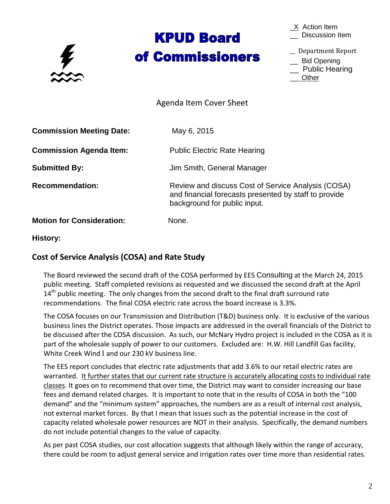

# **KPUD Board** of Commissioners

 $X$  Action Item \_\_ Discussion Item

\_\_ Department Report

\_\_ Bid Opening

\_\_ Public Hearing \_\_ Other

Agenda Item Cover Sheet

**Commission Meeting Date:** May 6, 2015 **Commission Agenda Item:** Public Electric Rate Hearing **Submitted By:** Jim Smith, General Manager **Recommendation:** Review and discuss Cost of Service Analysis (COSA) and financial forecasts presented by staff to provide background for public input. **Motion for Consideration:** None.

**History:**

## **Cost of Service Analysis (COSA) and Rate Study**

The Board reviewed the second draft of the COSA performed by EES Consulting at the March 24, 2015 public meeting. Staff completed revisions as requested and we discussed the second draft at the April 14<sup>th</sup> public meeting. The only changes from the second draft to the final draft surround rate recommendations. The final COSA electric rate across the board increase is 3.3%.

The COSA focuses on our Transmission and Distribution (T&D) business only. It is exclusive of the various business lines the District operates. Those impacts are addressed in the overall financials of the District to be discussed after the COSA discussion. As such, our McNary Hydro project is included in the COSA as it is part of the wholesale supply of power to our customers. Excluded are: H.W. Hill Landfill Gas facility, White Creek Wind I and our 230 kV business line.

The EES report concludes that electric rate adjustments that add 3.6% to our retail electric rates are warranted. It further states that our current rate structure is accurately allocating costs to individual rate classes. It goes on to recommend that over time, the District may want to consider increasing our base fees and demand related charges. It is important to note that in the results of COSA in both the "100 demand" and the "minimum system" approaches, the numbers are as a result of internal cost analysis, not external market forces. By that I mean that issues such as the potential increase in the cost of capacity related wholesale power resources are NOT in their analysis. Specifically, the demand numbers do not include potential changes to the value of capacity.

As per past COSA studies, our cost allocation suggests that although likely within the range of accuracy, there could be room to adjust general service and irrigation rates over time more than residential rates.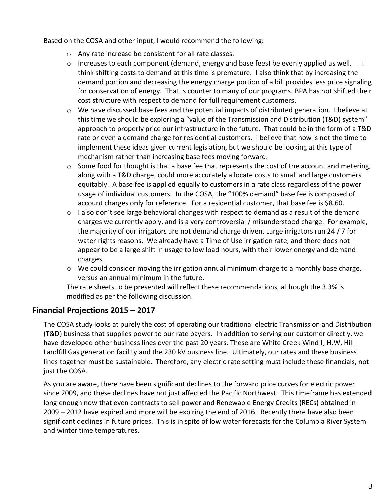Based on the COSA and other input, I would recommend the following:

- o Any rate increase be consistent for all rate classes.
- $\circ$  Increases to each component (demand, energy and base fees) be evenly applied as well. think shifting costs to demand at this time is premature. I also think that by increasing the demand portion and decreasing the energy charge portion of a bill provides less price signaling for conservation of energy. That is counter to many of our programs. BPA has not shifted their cost structure with respect to demand for full requirement customers.
- $\circ$  We have discussed base fees and the potential impacts of distributed generation. I believe at this time we should be exploring a "value of the Transmission and Distribution (T&D) system" approach to properly price our infrastructure in the future. That could be in the form of a T&D rate or even a demand charge for residential customers. I believe that now is not the time to implement these ideas given current legislation, but we should be looking at this type of mechanism rather than increasing base fees moving forward.
- $\circ$  Some food for thought is that a base fee that represents the cost of the account and metering, along with a T&D charge, could more accurately allocate costs to small and large customers equitably. A base fee is applied equally to customers in a rate class regardless of the power usage of individual customers. In the COSA, the "100% demand" base fee is composed of account charges only for reference. For a residential customer, that base fee is \$8.60.
- $\circ$  I also don't see large behavioral changes with respect to demand as a result of the demand charges we currently apply, and is a very controversial / misunderstood charge. For example, the majority of our irrigators are not demand charge driven. Large irrigators run 24 / 7 for water rights reasons. We already have a Time of Use irrigation rate, and there does not appear to be a large shift in usage to low load hours, with their lower energy and demand charges.
- $\circ$  We could consider moving the irrigation annual minimum charge to a monthly base charge, versus an annual minimum in the future.

The rate sheets to be presented will reflect these recommendations, although the 3.3% is modified as per the following discussion.

### **Financial Projections 2015 – 2017**

The COSA study looks at purely the cost of operating our traditional electric Transmission and Distribution (T&D) business that supplies power to our rate payers. In addition to serving our customer directly, we have developed other business lines over the past 20 years. These are White Creek Wind I, H.W. Hill Landfill Gas generation facility and the 230 kV business line. Ultimately, our rates and these business lines together must be sustainable. Therefore, any electric rate setting must include these financials, not just the COSA.

As you are aware, there have been significant declines to the forward price curves for electric power since 2009, and these declines have not just affected the Pacific Northwest. This timeframe has extended long enough now that even contracts to sell power and Renewable Energy Credits (RECs) obtained in 2009 – 2012 have expired and more will be expiring the end of 2016. Recently there have also been significant declines in future prices. This is in spite of low water forecasts for the Columbia River System and winter time temperatures.